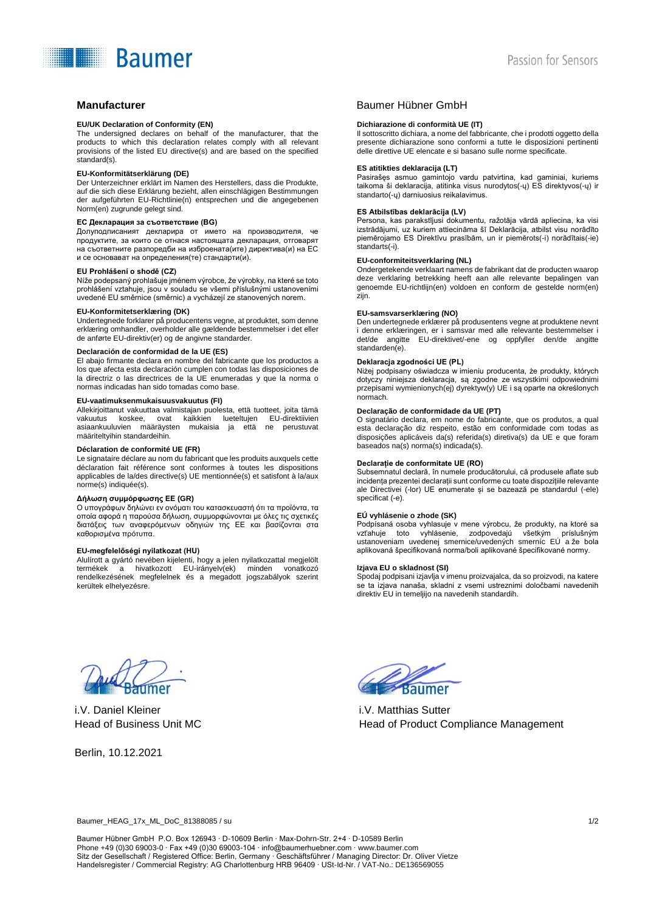# **Baumer**

#### **EU/UK Declaration of Conformity (EN)**

The undersigned declares on behalf of the manufacturer, that the products to which this declaration relates comply with all relevant provisions of the listed EU directive(s) and are based on the specified standard(s).

#### **EU-Konformitätserklärung (DE)**

Der Unterzeichner erklärt im Namen des Herstellers, dass die Produkte, auf die sich diese Erklärung bezieht, allen einschlägigen Bestimmungen der aufgeführten EU-Richtlinie(n) entsprechen und die angegebenen Norm(en) zugrunde gelegt sind.

#### **ЕС Декларация за съответствие (BG)**

Долуподписаният декларира от името на производителя, че продуктите, за които се отнася настоящата декларация, отговарят на съответните разпоредби на изброената(ите) директива(и) на ЕС и се основават на определения(те) стандарти(и).

#### **EU Prohlášení o shodě (CZ)**

Níže podepsaný prohlašuje jménem výrobce, že výrobky, na které se toto prohlášení vztahuje, jsou v souladu se všemi příslušnými ustanoveními uvedené EU směrnice (směrnic) a vycházejí ze stanovených norem.

### **EU-Konformitetserklæring (DK)**

Undertegnede forklarer på producentens vegne, at produktet, som denne erklæring omhandler, overholder alle gældende bestemmelser i det eller de anførte EU-direktiv(er) og de angivne standarder.

#### **Declaración de conformidad de la UE (ES)**

El abajo firmante declara en nombre del fabricante que los productos a los que afecta esta declaración cumplen con todas las disposiciones de la directriz o las directrices de la UE enumeradas y que la norma o normas indicadas han sido tomadas como base.

#### **EU-vaatimuksenmukaisuusvakuutus (FI)**

Allekirjoittanut vakuuttaa valmistajan puolesta, että tuotteet, joita tämä ovat kaikkien lueteltujen EU-direktiivien asiaankuuluvien määräysten mukaisia ja että ne perustuvat määriteltyihin standardeihin.

#### **Déclaration de conformité UE (FR)**

Le signataire déclare au nom du fabricant que les produits auxquels cette déclaration fait référence sont conformes à toutes les dispositions applicables de la/des directive(s) UE mentionnée(s) et satisfont à la/aux norme(s) indiquée(s).

#### **Δήλωση συμμόρφωσης ΕΕ (GR)**

Ο υπογράφων δηλώνει εν ονόματι του κατασκευαστή ότι τα προϊόντα, τα οποία αφορά η παρούσα δήλωση, συμμορφώνονται με όλες τις σχετικές διατάξεις των αναφερόμενων οδηγιών της ΕΕ και βασίζονται στα καθορισμένα πρότυπα.

#### **EU-megfelelőségi nyilatkozat (HU)**

Alulírott a gyártó nevében kijelenti, hogy a jelen nyilatkozattal megjelölt termékek a hivatkozott EU-irányelv(ek) minden vonatkozó rendelkezésének megfelelnek és a megadott jogszabályok szerint kerültek elhelyezésre.

# **Manufacturer Einzelter Baumer Hübner GmbH**

#### **Dichiarazione di conformità UE (IT)**

Il sottoscritto dichiara, a nome del fabbricante, che i prodotti oggetto della presente dichiarazione sono conformi a tutte le disposizioni pertinenti delle direttive UE elencate e si basano sulle norme specificate.

#### **ES atitikties deklaracija (LT)**

Pasirašęs asmuo gamintojo vardu patvirtina, kad gaminiai, kuriems taikoma ši deklaracija, atitinka visus nurodytos(-ų) ES direktyvos(-ų) ir standarto(-ų) darniuosius reikalavimus.

#### **ES Atbilstības deklarācija (LV)**

Persona, kas parakstījusi dokumentu, ražotāja vārdā apliecina, ka visi izstrādājumi, uz kuriem attiecināma šī Deklarācija, atbilst visu norādīto piemērojamo ES Direktīvu prasībām, un ir piemērots(-i) norādītais(-ie) standarts(-i).

#### **EU-conformiteitsverklaring (NL)**

Ondergetekende verklaart namens de fabrikant dat de producten waarop deze verklaring betrekking heeft aan alle relevante bepalingen van genoemde EU-richtlijn(en) voldoen en conform de gestelde norm(en) zijn.

#### **EU-samsvarserklæring (NO)**

Den undertegnede erklærer på produsentens vegne at produktene nevnt i denne erklæringen, er i samsvar med alle relevante bestemmelser i det/de angitte EU-direktivet/-ene og oppfyller den/de angitte standarden(e).

#### **Deklaracja zgodności UE (PL)**

Niżej podpisany oświadcza w imieniu producenta, że produkty, których dotyczy niniejsza deklaracja, są zgodne ze wszystkimi odpowiednimi przepisami wymienionych(ej) dyrektyw(y) UE i są oparte na określonych normach.

#### **Declaração de conformidade da UE (PT)**

O signatário declara, em nome do fabricante, que os produtos, a qual esta declaração diz respeito, estão em conformidade com todas as disposições aplicáveis da(s) referida(s) diretiva(s) da UE e que foram baseados na(s) norma(s) indicada(s).

#### **Declarație de conformitate UE (RO)**

Subsemnatul declară, în numele producătorului, că produsele aflate sub incidența prezentei declarații sunt conforme cu toate dispozițiile relevante ale Directivei (-lor) UE enumerate și se bazează pe standardul (-ele) specificat (-e).

#### **EÚ vyhlásenie o zhode (SK)**

Podpísaná osoba vyhlasuje v mene výrobcu, že produkty, na ktoré sa vzťahuje toto vyhlásenie, zodpovedajú všetkým príslušným ustanoveniam uvedenej smernice/uvedených smerníc EÚ a že bola aplikovaná špecifikovaná norma/boli aplikované špecifikované normy.

#### **Izjava EU o skladnost (SI)**

Spodaj podpisani izjavlja v imenu proizvajalca, da so proizvodi, na katere se ta izjava nanaša, skladni z vsemi ustreznimi določbami navedenih direktiv EU in temeljijo na navedenih standardih.

i.V. Daniel Kleiner Head of Business Unit MC

Berlin, 10.12.2021



i.V. Matthias Sutter Head of Product Compliance Management

Baumer\_HEAG\_17x\_ML\_DoC\_81388085 / su 1/2

Baumer Hübner GmbH P.O. Box 126943 ∙ D-10609 Berlin ∙ Max-Dohrn-Str. 2+4 ∙ D-10589 Berlin Phone +49 (0)30 69003-0 ∙ Fax +49 (0)30 69003-104 ∙ info@baumerhuebner.com ∙ www.baumer.com Sitz der Gesellschaft / Registered Office: Berlin, Germany ∙ Geschäftsführer / Managing Director: Dr. Oliver Vietze Handelsregister / Commercial Registry: AG Charlottenburg HRB 96409 ∙ USt-Id-Nr. / VAT-No.: DE136569055